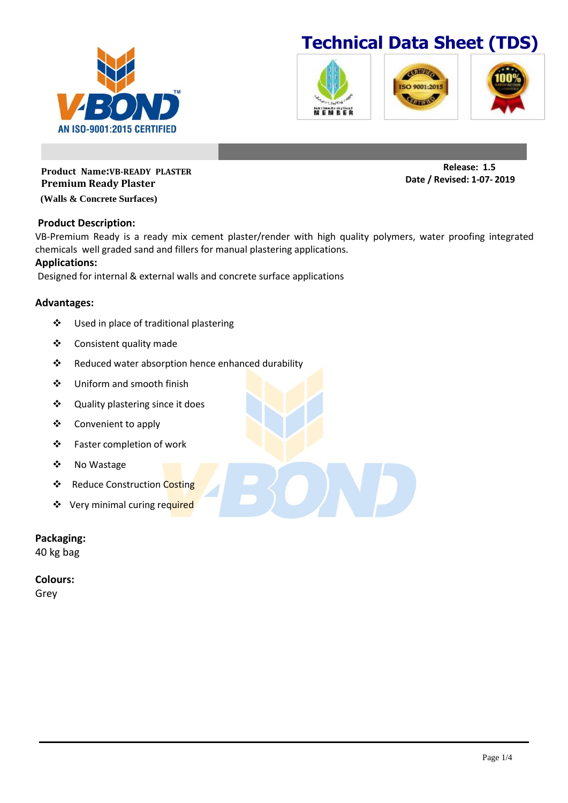

## **Technical Data Sheet (TDS)**







**Product Name:VB-READY PLASTER Premium Ready Plaster**

**(Walls & Concrete Surfaces)**

#### **Product Description:**

VB-Premium Ready is a ready mix cement plaster/render with high quality polymers, water proofing integrated chemicals well graded sand and fillers for manual plastering applications.

#### **Applications:**

Designed for internal & external walls and concrete surface applications

#### **Advantages:**

- Used in place of traditional plastering
- Consistent quality made
- \* Reduced water absorption hence enhanced durability
- Uniform and smooth finish
- Quality plastering since it does
- Convenient to apply
- Faster completion of work
- ❖ No Wastage
- ❖ Reduce Construction Costing
- ❖ Very minimal curing required

### **Packaging:**

40 kg bag

**Colours:**

Grey

**Release: 1.5 Date / Revised: 1-07- 2019**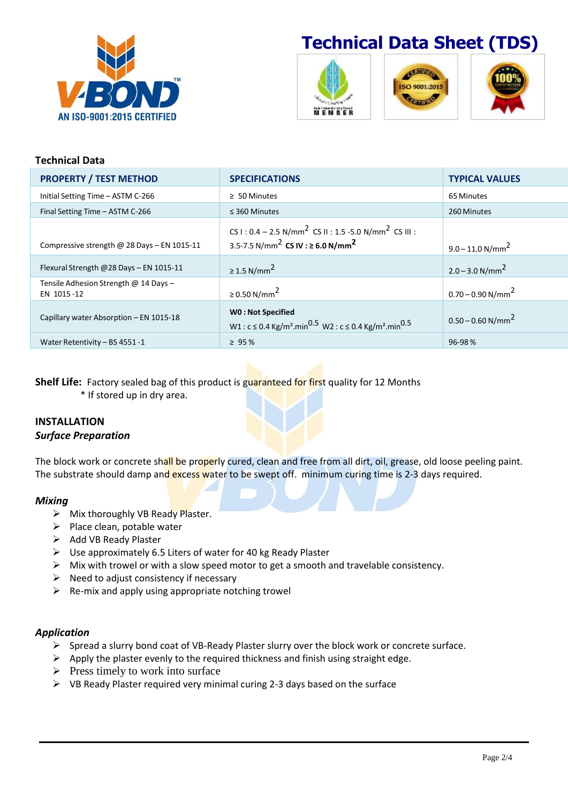

# **Technical Data Sheet (TDS)**







#### **Technical Data PROPERTY / TEST METHOD SPECIFICATIONS TYPICAL VALUES** Initial Setting Time – ASTM C-266 2 50 Minutes 2 SO Minutes 65 Minutes 65 Minutes Final Setting Time – ASTM C-266 ≤ 360 Minutes 260 Minutes Compressive strength @ 28 Days – EN 1015-11 CS I :  $0.4 - 2.5 \text{ N/mm}^2$  CS II : 1.5 -5.0 N/mm<sup>2</sup> CS III : 3.5-7.5 N/mm<sup>2</sup> **CS IV : <sup>≥</sup> 6.0 N/mm<sup>2</sup>**  $9.0 - 11.0 N/mm<sup>2</sup>$ Flexural Strength @28 Days – EN 1015-11  $\geq 1.5 \text{ N/mm}^2$  $2.0 - 3.0$  N/mm<sup>2</sup> Tensile Adhesion Strength @ 14 Days – EN 1015-12  $\ge 0.50 \text{ N/mm}^2$  $0.70 - 0.90$  N/mm<sup>2</sup> Capillary water Absorption – EN 1015-18 **W0 : Not Specified** W1 : c ≤ 0.4 Kg/m<sup>2</sup>.min<sup>0.5</sup> W2 : c ≤ 0.4 Kg/m<sup>2</sup>.min<sup>0.5</sup> 0.50 – 0.60 N/mm<sup>2</sup> Water Retentivity – BS 4551 -1  $\geq 95\%$

**Shelf Life:** Factory sealed bag of this product is guaranteed for first quality for 12 Months

\* If stored up in dry area.

### **INSTALLATION** *Surface Preparation*

The block work or concrete shall be properly cured, clean and free from all dirt, oil, grease, old loose peeling paint. The substrate should damp and excess water to be swept off. minimum curing time is 2-3 days required.

### *Mixing*

- $\triangleright$  Mix thoroughly VB Ready Plaster.
- $\triangleright$  Place clean, potable water
- $\triangleright$  Add VB Ready Plaster
- $\triangleright$  Use approximately 6.5 Liters of water for 40 kg Ready Plaster
- $\triangleright$  Mix with trowel or with a slow speed motor to get a smooth and travelable consistency.
- $\triangleright$  Need to adjust consistency if necessary
- $\triangleright$  Re-mix and apply using appropriate notching trowel

### *Application*

- $\triangleright$  Spread a slurry bond coat of VB-Ready Plaster slurry over the block work or concrete surface.
- $\triangleright$  Apply the plaster evenly to the required thickness and finish using straight edge.
- $\triangleright$  Press timely to work into surface
- $\triangleright$  VB Ready Plaster required very minimal curing 2-3 days based on the surface